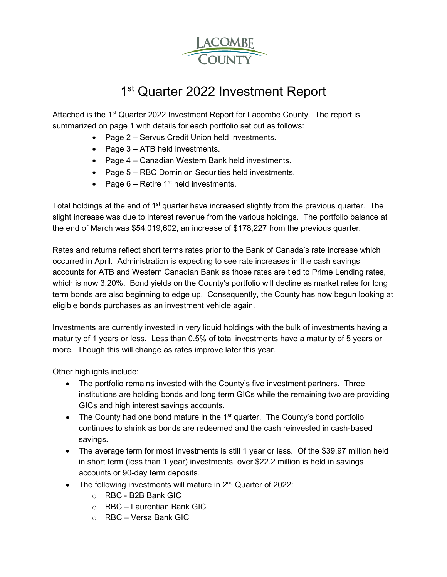

# 1<sup>st</sup> Quarter 2022 Investment Report

Attached is the 1<sup>st</sup> Quarter 2022 Investment Report for Lacombe County. The report is summarized on page 1 with details for each portfolio set out as follows:

- Page 2 Servus Credit Union held investments.
- Page 3 ATB held investments.
- Page 4 Canadian Western Bank held investments.
- Page 5 RBC Dominion Securities held investments.
- Page  $6$  Retire 1<sup>st</sup> held investments.

Total holdings at the end of  $1<sup>st</sup>$  quarter have increased slightly from the previous quarter. The slight increase was due to interest revenue from the various holdings. The portfolio balance at the end of March was \$54,019,602, an increase of \$178,227 from the previous quarter.

Rates and returns reflect short terms rates prior to the Bank of Canada's rate increase which occurred in April. Administration is expecting to see rate increases in the cash savings accounts for ATB and Western Canadian Bank as those rates are tied to Prime Lending rates, which is now 3.20%. Bond yields on the County's portfolio will decline as market rates for long term bonds are also beginning to edge up. Consequently, the County has now begun looking at eligible bonds purchases as an investment vehicle again.

Investments are currently invested in very liquid holdings with the bulk of investments having a maturity of 1 years or less. Less than 0.5% of total investments have a maturity of 5 years or more. Though this will change as rates improve later this year.

Other highlights include:

- The portfolio remains invested with the County's five investment partners. Three institutions are holding bonds and long term GICs while the remaining two are providing GICs and high interest savings accounts.
- The County had one bond mature in the  $1<sup>st</sup>$  quarter. The County's bond portfolio continues to shrink as bonds are redeemed and the cash reinvested in cash-based savings.
- The average term for most investments is still 1 year or less. Of the \$39.97 million held in short term (less than 1 year) investments, over \$22.2 million is held in savings accounts or 90-day term deposits.
- The following investments will mature in  $2^{nd}$  Quarter of 2022:
	- o RBC B2B Bank GIC
	- $\circ$  RBC Laurentian Bank GIC
	- o RBC Versa Bank GIC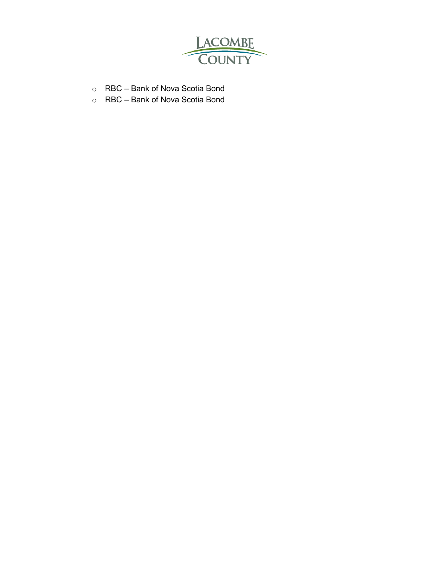

- o RBC Bank of Nova Scotia Bond
- o RBC Bank of Nova Scotia Bond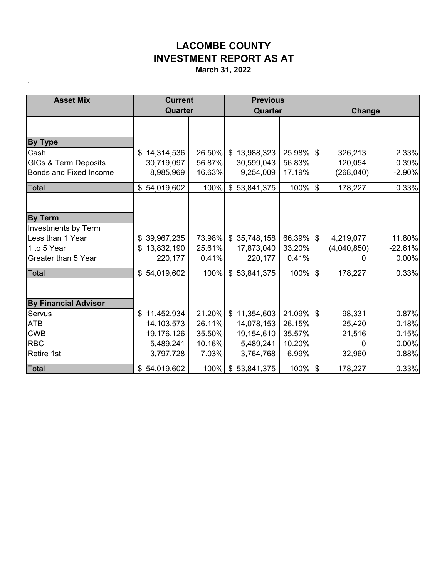.

| <b>Asset Mix</b>                        | <b>Current</b>               |              | <b>Previous</b>     |           |                           |             |           |  |
|-----------------------------------------|------------------------------|--------------|---------------------|-----------|---------------------------|-------------|-----------|--|
|                                         | Quarter                      |              | Quarter             |           |                           | Change      |           |  |
|                                         |                              |              |                     |           |                           |             |           |  |
| <b>By Type</b>                          |                              |              |                     |           |                           |             |           |  |
| Cash                                    | \$14,314,536                 | 26.50% \$    | 13,988,323          | 25.98% \$ |                           | 326,213     | 2.33%     |  |
| <b>GICs &amp; Term Deposits</b>         | 30,719,097                   | 56.87%       | 30,599,043          | 56.83%    |                           | 120,054     | 0.39%     |  |
| <b>Bonds and Fixed Income</b>           | 8,985,969                    | 16.63%       | 9,254,009           | 17.19%    |                           | (268, 040)  | $-2.90%$  |  |
| Total                                   | \$54,019,602                 | 100%         | \$53,841,375        | 100%      | $\mathbb{S}$              | 178,227     | 0.33%     |  |
|                                         |                              |              |                     |           |                           |             |           |  |
| <b>By Term</b>                          |                              |              |                     |           |                           |             |           |  |
| Investments by Term<br>Less than 1 Year | \$39,967,235                 |              | 73.98% \$35,748,158 | 66.39%    | $\mathfrak{F}$            | 4,219,077   | 11.80%    |  |
| 1 to 5 Year                             | 13,832,190<br>\$             | 25.61%       | 17,873,040          | 33.20%    |                           | (4,040,850) | $-22.61%$ |  |
| Greater than 5 Year                     | 220,177                      | 0.41%        | 220,177             | 0.41%     |                           | 0           | 0.00%     |  |
| Total                                   | $\mathfrak{L}$<br>54,019,602 | 100%         | \$53,841,375        | 100%      | $\boldsymbol{\mathsf{S}}$ | 178,227     | 0.33%     |  |
|                                         |                              |              |                     |           |                           |             |           |  |
| <b>By Financial Advisor</b>             |                              |              |                     |           |                           |             |           |  |
| Servus                                  | \$11,452,934                 | $21.20\%$ \$ | 11,354,603          | 21.09% \$ |                           | 98,331      | 0.87%     |  |
| <b>ATB</b>                              | 14,103,573                   | 26.11%       | 14,078,153          | 26.15%    |                           | 25,420      | 0.18%     |  |
| <b>CWB</b>                              | 19,176,126                   | 35.50%       | 19,154,610          | 35.57%    |                           | 21,516      | 0.15%     |  |
| <b>RBC</b>                              | 5,489,241                    | 10.16%       | 5,489,241           | 10.20%    |                           |             | 0.00%     |  |
| Retire 1st                              | 3,797,728                    | 7.03%        | 3,764,768           | 6.99%     |                           | 32,960      | 0.88%     |  |
| Total                                   | \$54,019,602                 |              | 100% \$ 53,841,375  | 100% \$   |                           | 178,227     | 0.33%     |  |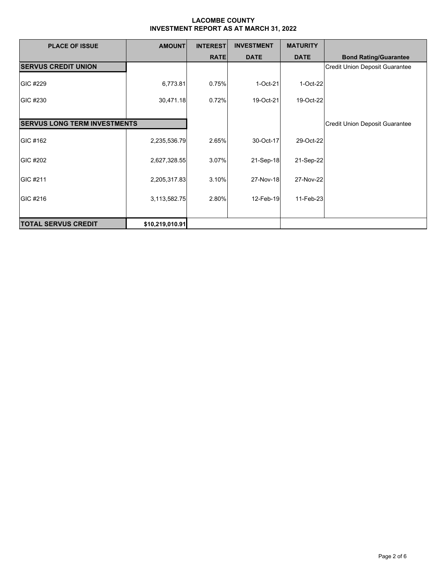| <b>PLACE OF ISSUE</b>               | <b>AMOUNT</b>   | <b>INTEREST</b> | <b>INVESTMENT</b> | <b>MATURITY</b> |                                       |
|-------------------------------------|-----------------|-----------------|-------------------|-----------------|---------------------------------------|
|                                     |                 | <b>RATE</b>     | <b>DATE</b>       | <b>DATE</b>     | <b>Bond Rating/Guarantee</b>          |
| <b>SERVUS CREDIT UNION</b>          |                 |                 |                   |                 | <b>Credit Union Deposit Guarantee</b> |
| GIC #229                            | 6,773.81        | 0.75%           | $1-Oct-21$        | 1-Oct-22        |                                       |
| GIC #230                            | 30,471.18       | 0.72%           | 19-Oct-21         | 19-Oct-22       |                                       |
|                                     |                 |                 |                   |                 |                                       |
| <b>SERVUS LONG TERM INVESTMENTS</b> |                 |                 |                   |                 | <b>Credit Union Deposit Guarantee</b> |
| GIC #162                            | 2,235,536.79    | 2.65%           | 30-Oct-17         | 29-Oct-22       |                                       |
| GIC #202                            | 2,627,328.55    | 3.07%           | 21-Sep-18         | 21-Sep-22       |                                       |
| GIC #211                            | 2,205,317.83    | 3.10%           | 27-Nov-18         | 27-Nov-22       |                                       |
| GIC #216                            | 3,113,582.75    | 2.80%           | 12-Feb-19         | 11-Feb-23       |                                       |
| <b>TOTAL SERVUS CREDIT</b>          | \$10,219,010.91 |                 |                   |                 |                                       |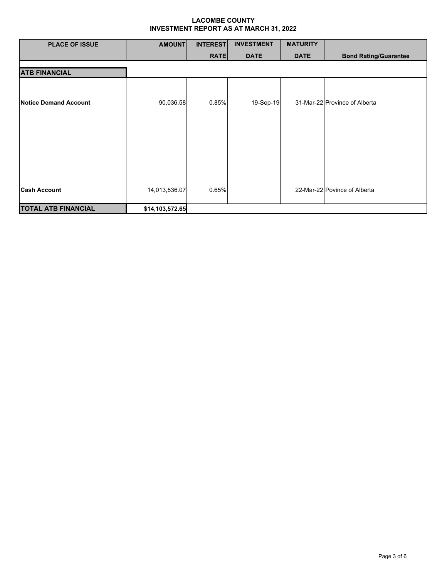| <b>PLACE OF ISSUE</b>      | <b>AMOUNT</b>   | <b>INTEREST</b> | <b>INVESTMENT</b> | <b>MATURITY</b> |                               |
|----------------------------|-----------------|-----------------|-------------------|-----------------|-------------------------------|
|                            |                 | <b>RATE</b>     | <b>DATE</b>       | <b>DATE</b>     | <b>Bond Rating/Guarantee</b>  |
| <b>ATB FINANCIAL</b>       |                 |                 |                   |                 |                               |
| Notice Demand Account      | 90,036.58       | 0.85%           | 19-Sep-19         |                 | 31-Mar-22 Province of Alberta |
|                            |                 |                 |                   |                 |                               |
| <b>Cash Account</b>        | 14,013,536.07   | 0.65%           |                   |                 | 22-Mar-22 Povince of Alberta  |
| <b>TOTAL ATB FINANCIAL</b> | \$14,103,572.65 |                 |                   |                 |                               |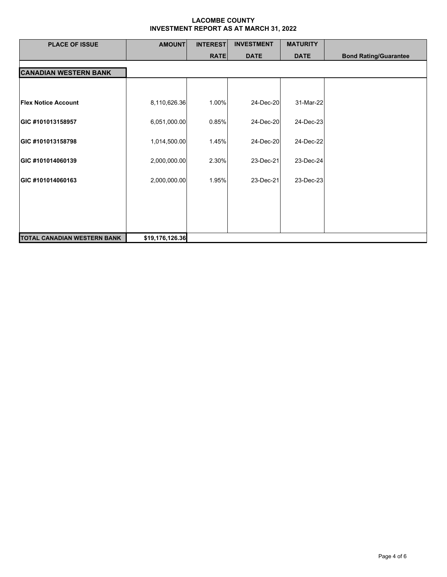| <b>PLACE OF ISSUE</b>              | <b>AMOUNT</b>   | <b>INTEREST</b> | <b>INVESTMENT</b> | <b>MATURITY</b> |                              |
|------------------------------------|-----------------|-----------------|-------------------|-----------------|------------------------------|
|                                    |                 | <b>RATE</b>     | <b>DATE</b>       | <b>DATE</b>     | <b>Bond Rating/Guarantee</b> |
| <b>CANADIAN WESTERN BANK</b>       |                 |                 |                   |                 |                              |
|                                    |                 |                 |                   |                 |                              |
| <b>Flex Notice Account</b>         | 8,110,626.36    | 1.00%           | 24-Dec-20         | 31-Mar-22       |                              |
| GIC #101013158957                  | 6,051,000.00    | 0.85%           | 24-Dec-20         | 24-Dec-23       |                              |
| GIC #101013158798                  | 1,014,500.00    | 1.45%           | 24-Dec-20         | 24-Dec-22       |                              |
| GIC #101014060139                  | 2,000,000.00    | 2.30%           | 23-Dec-21         | 23-Dec-24       |                              |
| GIC #101014060163                  | 2,000,000.00    | 1.95%           | 23-Dec-21         | 23-Dec-23       |                              |
|                                    |                 |                 |                   |                 |                              |
|                                    |                 |                 |                   |                 |                              |
|                                    |                 |                 |                   |                 |                              |
| <b>TOTAL CANADIAN WESTERN BANK</b> | \$19,176,126.36 |                 |                   |                 |                              |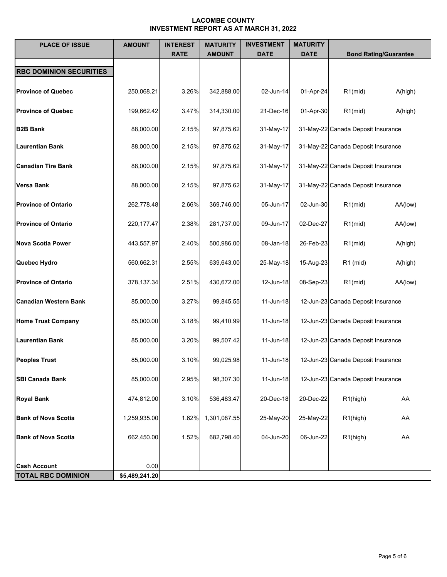| <b>PLACE OF ISSUE</b>                            | <b>AMOUNT</b>          | <b>INTEREST</b><br><b>RATE</b> | <b>MATURITY</b><br><b>AMOUNT</b> | <b>INVESTMENT</b><br><b>DATE</b> | <b>MATURITY</b><br><b>DATE</b> | <b>Bond Rating/Guarantee</b>       |         |
|--------------------------------------------------|------------------------|--------------------------------|----------------------------------|----------------------------------|--------------------------------|------------------------------------|---------|
| <b>RBC DOMINION SECURITIES</b>                   |                        |                                |                                  |                                  |                                |                                    |         |
| <b>Province of Quebec</b>                        | 250,068.21             | 3.26%                          | 342,888.00                       | 02-Jun-14                        | 01-Apr-24                      | $R1$ (mid)                         | A(high) |
| <b>Province of Quebec</b>                        | 199,662.42             | 3.47%                          | 314,330.00                       | 21-Dec-16                        | 01-Apr-30                      | $R1$ (mid)                         | A(high) |
| <b>B2B Bank</b>                                  | 88,000.00              | 2.15%                          | 97,875.62                        | 31-May-17                        |                                | 31-May-22 Canada Deposit Insurance |         |
| <b>Laurentian Bank</b>                           | 88,000.00              | 2.15%                          | 97,875.62                        | 31-May-17                        |                                | 31-May-22 Canada Deposit Insurance |         |
| <b>Canadian Tire Bank</b>                        | 88,000.00              | 2.15%                          | 97,875.62                        | 31-May-17                        |                                | 31-May-22 Canada Deposit Insurance |         |
| <b>Versa Bank</b>                                | 88,000.00              | 2.15%                          | 97,875.62                        | 31-May-17                        |                                | 31-May-22 Canada Deposit Insurance |         |
| <b>Province of Ontario</b>                       | 262,778.48             | 2.66%                          | 369,746.00                       | 05-Jun-17                        | 02-Jun-30                      | $R1$ (mid)                         | AA(low) |
| <b>Province of Ontario</b>                       | 220, 177. 47           | 2.38%                          | 281,737.00                       | 09-Jun-17                        | 02-Dec-27                      | $R1$ (mid)                         | AA(low) |
| Nova Scotia Power                                | 443,557.97             | 2.40%                          | 500,986.00                       | 08-Jan-18                        | 26-Feb-23                      | $R1$ (mid)                         | A(high) |
| Quebec Hydro                                     | 560,662.31             | 2.55%                          | 639,643.00                       | 25-May-18                        | 15-Aug-23                      | $R1$ (mid)                         | A(high) |
| <b>Province of Ontario</b>                       | 378,137.34             | 2.51%                          | 430,672.00                       | 12-Jun-18                        | 08-Sep-23                      | $R1$ (mid)                         | AA(low) |
| <b>Canadian Western Bank</b>                     | 85,000.00              | 3.27%                          | 99,845.55                        | 11-Jun-18                        |                                | 12-Jun-23 Canada Deposit Insurance |         |
| <b>Home Trust Company</b>                        | 85,000.00              | 3.18%                          | 99,410.99                        | 11-Jun-18                        |                                | 12-Jun-23 Canada Deposit Insurance |         |
| <b>Laurentian Bank</b>                           | 85,000.00              | 3.20%                          | 99,507.42                        | 11-Jun-18                        |                                | 12-Jun-23 Canada Deposit Insurance |         |
| <b>Peoples Trust</b>                             | 85,000.00              | 3.10%                          | 99,025.98                        | 11-Jun-18                        |                                | 12-Jun-23 Canada Deposit Insurance |         |
| <b>SBI Canada Bank</b>                           | 85,000.00              | 2.95%                          | 98,307.30                        | 11-Jun-18                        |                                | 12-Jun-23 Canada Deposit Insurance |         |
| <b>Royal Bank</b>                                | 474,812.00             | 3.10%                          | 536,483.47                       | 20-Dec-18                        | 20-Dec-22                      | R1(high)                           | AA      |
| <b>Bank of Nova Scotia</b>                       | 1,259,935.00           | 1.62%                          | 1,301,087.55                     | 25-May-20                        | 25-May-22                      | R <sub>1</sub> (high)              | AA      |
| <b>Bank of Nova Scotia</b>                       | 662,450.00             | 1.52%                          | 682,798.40                       | 04-Jun-20                        | 06-Jun-22                      | R1(high)                           | AA      |
|                                                  |                        |                                |                                  |                                  |                                |                                    |         |
| <b>Cash Account</b><br><b>TOTAL RBC DOMINION</b> | 0.00<br>\$5,489,241.20 |                                |                                  |                                  |                                |                                    |         |